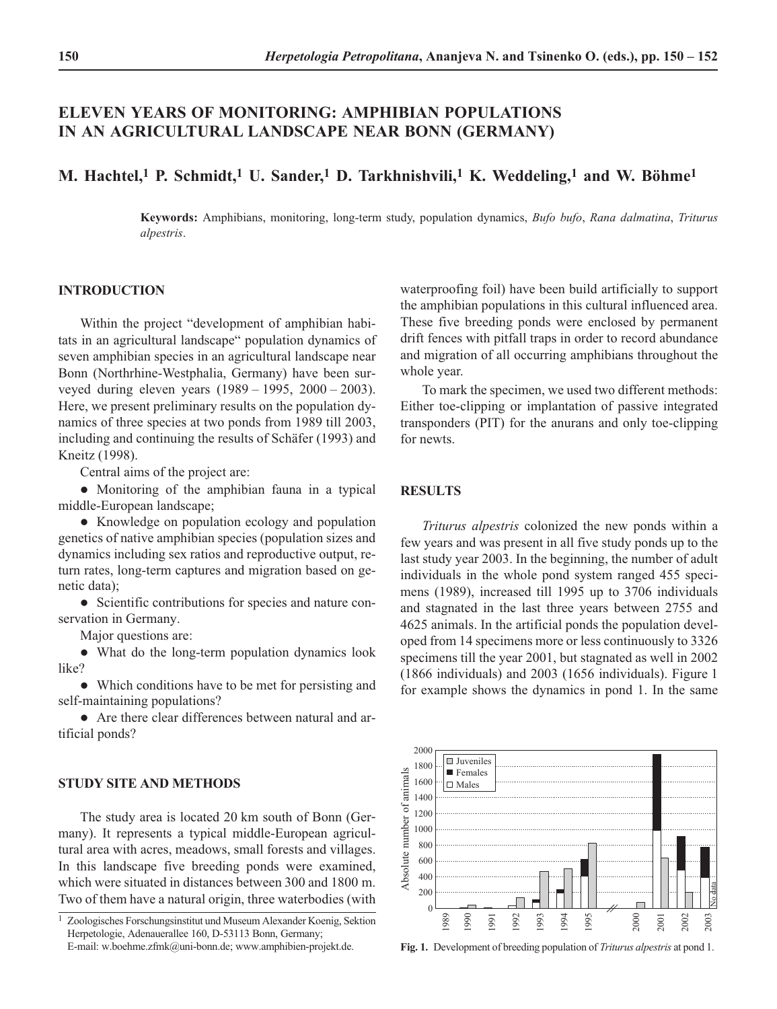# **ELEVEN YEARS OF MONITORING: AMPHIBIAN POPULATIONS IN AN AGRICULTURAL LANDSCAPE NEAR BONN (GERMANY)**

## **M. Hachtel,1 P. Schmidt,1 U. Sander,1 D. Tarkhnishvili,1 K. Weddeling,1 and W. Böhme1**

**Keywords:** Amphibians, monitoring, long-term study, population dynamics, *Bufo bufo*, *Rana dalmatina*, *Triturus alpestris*.

## **INTRODUCTION**

Within the project "development of amphibian habitats in an agricultural landscape" population dynamics of seven amphibian species in an agricultural landscape near Bonn (Northrhine-Westphalia, Germany) have been surveyed during eleven years (1989 – 1995, 2000 – 2003). Here, we present preliminary results on the population dynamics of three species at two ponds from 1989 till 2003, including and continuing the results of Schäfer (1993) and Kneitz (1998).

Central aims of the project are:

 Monitoring of the amphibian fauna in a typical middle-European landscape;

 Knowledge on population ecology and population genetics of native amphibian species (population sizes and dynamics including sex ratios and reproductive output, return rates, long-term captures and migration based on genetic data);

• Scientific contributions for species and nature conservation in Germany.

Major questions are:

 What do the long-term population dynamics look like?

 Which conditions have to be met for persisting and self-maintaining populations?

 Are there clear differences between natural and artificial ponds?

## **STUDY SITE AND METHODS**

The study area is located 20 km south of Bonn (Germany). It represents a typical middle-European agricultural area with acres, meadows, small forests and villages. In this landscape five breeding ponds were examined, which were situated in distances between 300 and 1800 m. Two of them have a natural origin, three waterbodies (with

waterproofing foil) have been build artificially to support the amphibian populations in this cultural influenced area. These five breeding ponds were enclosed by permanent drift fences with pitfall traps in order to record abundance and migration of all occurring amphibians throughout the whole year.

To mark the specimen, we used two different methods: Either toe-clipping or implantation of passive integrated transponders (PIT) for the anurans and only toe-clipping for newts.

### **RESULTS**

*Triturus alpestris* colonized the new ponds within a few years and was present in all five study ponds up to the last study year 2003. In the beginning, the number of adult individuals in the whole pond system ranged 455 specimens (1989), increased till 1995 up to 3706 individuals and stagnated in the last three years between 2755 and 4625 animals. In the artificial ponds the population developed from 14 specimens more or less continuously to 3326 specimens till the year 2001, but stagnated as well in 2002 (1866 individuals) and 2003 (1656 individuals). Figure 1 for example shows the dynamics in pond 1. In the same



**Fig. 1.** Development of breeding population of *Triturus alpestris* at pond 1.

<sup>1</sup> Zoologisches Forschungsinstitut und Museum Alexander Koenig, Sektion Herpetologie, Adenauerallee 160, D-53113 Bonn, Germany; E-mail: w.boehme.zfmk@uni-bonn.de; www.amphibien-projekt.de.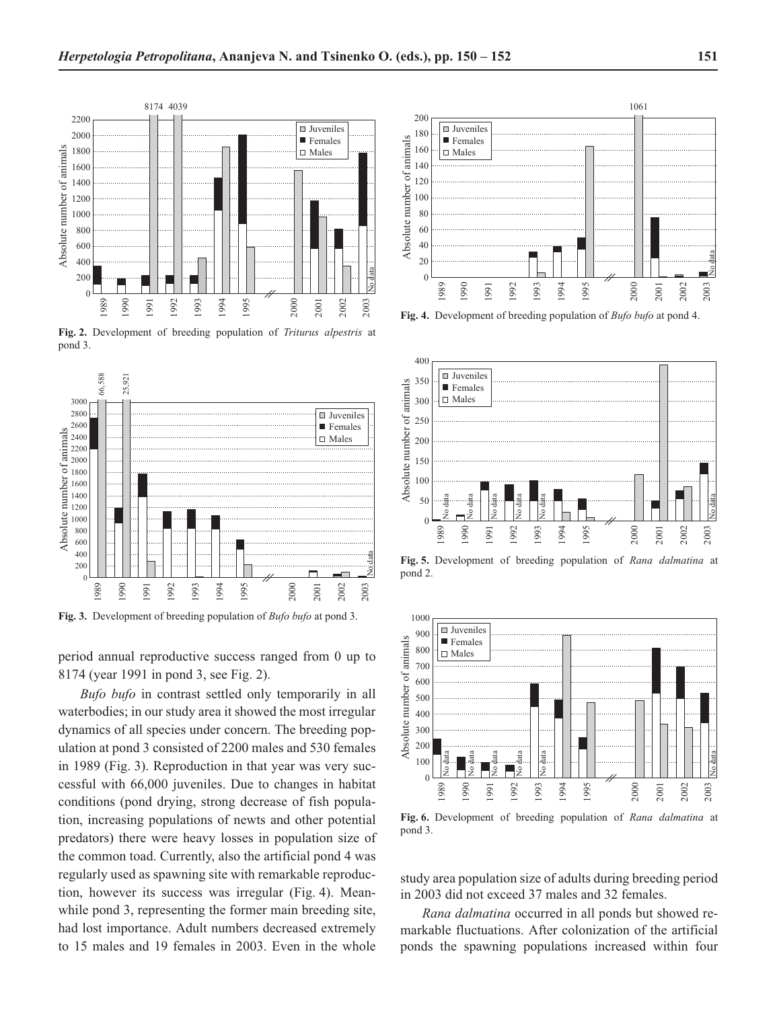

**Fig. 2.** Development of breeding population of *Triturus alpestris* at pond 3.



**Fig. 3.** Development of breeding population of *Bufo bufo* at pond 3.

period annual reproductive success ranged from 0 up to 8174 (year 1991 in pond 3, see Fig. 2).

*Bufo bufo* in contrast settled only temporarily in all waterbodies; in our study area it showed the most irregular dynamics of all species under concern. The breeding population at pond 3 consisted of 2200 males and 530 females in 1989 (Fig. 3). Reproduction in that year was very successful with 66,000 juveniles. Due to changes in habitat conditions (pond drying, strong decrease of fish population, increasing populations of newts and other potential predators) there were heavy losses in population size of the common toad. Currently, also the artificial pond 4 was regularly used as spawning site with remarkable reproduction, however its success was irregular (Fig. 4). Meanwhile pond 3, representing the former main breeding site, had lost importance. Adult numbers decreased extremely to 15 males and 19 females in 2003. Even in the whole



**Fig. 4.** Development of breeding population of *Bufo bufo* at pond 4.



**Fig. 5.** Development of breeding population of *Rana dalmatina* at pond 2.



**Fig. 6.** Development of breeding population of *Rana dalmatina* at pond 3.

study area population size of adults during breeding period in 2003 did not exceed 37 males and 32 females.

*Rana dalmatina* occurred in all ponds but showed remarkable fluctuations. After colonization of the artificial ponds the spawning populations increased within four